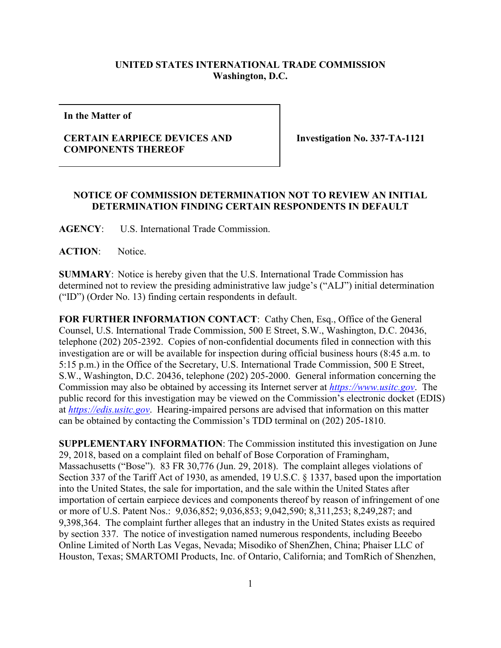## **UNITED STATES INTERNATIONAL TRADE COMMISSION Washington, D.C.**

**In the Matter of**

## **CERTAIN EARPIECE DEVICES AND COMPONENTS THEREOF**

**Investigation No. 337-TA-1121**

## **NOTICE OF COMMISSION DETERMINATION NOT TO REVIEW AN INITIAL DETERMINATION FINDING CERTAIN RESPONDENTS IN DEFAULT**

**AGENCY**: U.S. International Trade Commission.

**ACTION**: Notice.

**SUMMARY**: Notice is hereby given that the U.S. International Trade Commission has determined not to review the presiding administrative law judge's ("ALJ") initial determination ("ID") (Order No. 13) finding certain respondents in default.

FOR FURTHER INFORMATION CONTACT: Cathy Chen, Esq., Office of the General Counsel, U.S. International Trade Commission, 500 E Street, S.W., Washington, D.C. 20436, telephone (202) 205-2392. Copies of non-confidential documents filed in connection with this investigation are or will be available for inspection during official business hours (8:45 a.m. to 5:15 p.m.) in the Office of the Secretary, U.S. International Trade Commission, 500 E Street, S.W., Washington, D.C. 20436, telephone (202) 205-2000. General information concerning the Commission may also be obtained by accessing its Internet server at *[https://www.usitc.gov](https://www.usitc.gov/)*. The public record for this investigation may be viewed on the Commission's electronic docket (EDIS) at *[https://edis.usitc.gov](https://edis.usitc.gov/)*. Hearing-impaired persons are advised that information on this matter can be obtained by contacting the Commission's TDD terminal on (202) 205-1810.

**SUPPLEMENTARY INFORMATION**: The Commission instituted this investigation on June 29, 2018, based on a complaint filed on behalf of Bose Corporation of Framingham, Massachusetts ("Bose"). 83 FR 30,776 (Jun. 29, 2018). The complaint alleges violations of Section 337 of the Tariff Act of 1930, as amended, 19 U.S.C. § 1337, based upon the importation into the United States, the sale for importation, and the sale within the United States after importation of certain earpiece devices and components thereof by reason of infringement of one or more of U.S. Patent Nos.: 9,036,852; 9,036,853; 9,042,590; 8,311,253; 8,249,287; and 9,398,364. The complaint further alleges that an industry in the United States exists as required by section 337. The notice of investigation named numerous respondents, including Beeebo Online Limited of North Las Vegas, Nevada; Misodiko of ShenZhen, China; Phaiser LLC of Houston, Texas; SMARTOMI Products, Inc. of Ontario, California; and TomRich of Shenzhen,